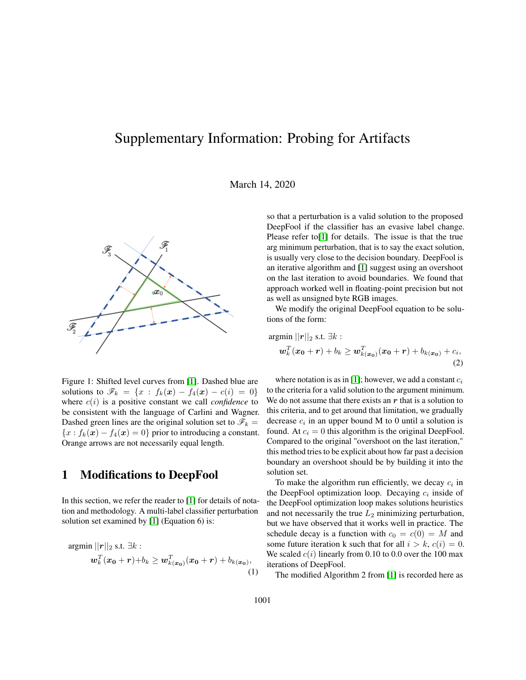# Supplementary Information: Probing for Artifacts

March 14, 2020



Figure 1: Shifted level curves from [\[1\]](#page-1-0). Dashed blue are solutions to  $\mathscr{F}_k = \{x : f_k(x) - f_4(x) - c(i) = 0\}$ where  $c(i)$  is a positive constant we call *confidence* to be consistent with the language of Carlini and Wagner. Dashed green lines are the original solution set to  $\mathscr{F}_k =$  ${x : f_k(x) - f_4(x) = 0}$  prior to introducing a constant. Orange arrows are not necessarily equal length.

### 1 Modifications to DeepFool

In this section, we refer the reader to [\[1\]](#page-1-0) for details of notation and methodology. A multi-label classifier perturbation solution set examined by [\[1\]](#page-1-0) (Equation 6) is:

$$
\mathop{\mathrm{argmin}}\limits_{\boldsymbol{w}_k^T(\boldsymbol{x_0}+\boldsymbol{r})+b_k \geq \boldsymbol{w}_{k(\boldsymbol{x_0})}^T(\boldsymbol{x_0}+\boldsymbol{r})+b_{k(\boldsymbol{x_0})},
$$
\n(1)

so that a perturbation is a valid solution to the proposed DeepFool if the classifier has an evasive label change. Please refer to<sup>[\[1\]](#page-1-0)</sup> for details. The issue is that the true arg minimum perturbation, that is to say the exact solution, is usually very close to the decision boundary. DeepFool is an iterative algorithm and [\[1\]](#page-1-0) suggest using an overshoot on the last iteration to avoid boundaries. We found that approach worked well in floating-point precision but not as well as unsigned byte RGB images.

We modify the original DeepFool equation to be solutions of the form:

$$
\begin{aligned} \n\mathop{\mathrm{argmin}}\limits_{\mathbf{w}_k^T} ||\mathbf{r}||_2 \text{ s.t. } \exists k : \\
\mathbf{w}_k^T(\mathbf{x_0} + \mathbf{r}) + b_k &\geq \mathbf{w}_{k(\mathbf{x_0})}^T(\mathbf{x_0} + \mathbf{r}) + b_{k(\mathbf{x_0})} + c_i,\n\end{aligned} \tag{2}
$$

where notation is as in [\[1\]](#page-1-0); however, we add a constant  $c_i$ to the criteria for a valid solution to the argument minimum. We do not assume that there exists an  $r$  that is a solution to this criteria, and to get around that limitation, we gradually decrease  $c_i$  in an upper bound M to 0 until a solution is found. At  $c_i = 0$  this algorithm is the original DeepFool. Compared to the original "overshoot on the last iteration," this method tries to be explicit about how far past a decision boundary an overshoot should be by building it into the solution set.

To make the algorithm run efficiently, we decay  $c_i$  in the DeepFool optimization loop. Decaying  $c_i$  inside of the DeepFool optimization loop makes solutions heuristics and not necessarily the true  $L_2$  minimizing perturbation, but we have observed that it works well in practice. The schedule decay is a function with  $c_0 = c(0) = M$  and some future iteration k such that for all  $i > k$ ,  $c(i) = 0$ . We scaled  $c(i)$  linearly from 0.10 to 0.0 over the 100 max iterations of DeepFool.

The modified Algorithm 2 from [\[1\]](#page-1-0) is recorded here as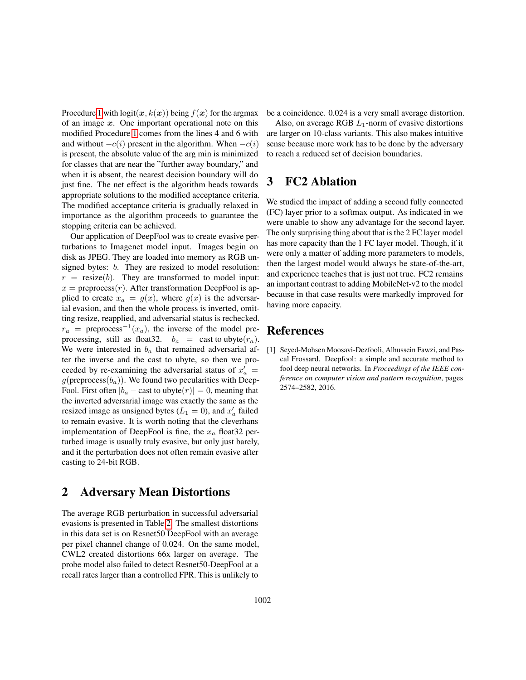Procedure [1](#page-2-0) with  $logit(x, k(x))$  being  $f(x)$  for the argmax of an image  $x$ . One important operational note on this modified Procedure [1](#page-2-0) comes from the lines 4 and 6 with and without  $-c(i)$  present in the algorithm. When  $-c(i)$ is present, the absolute value of the arg min is minimized for classes that are near the "further away boundary," and when it is absent, the nearest decision boundary will do just fine. The net effect is the algorithm heads towards appropriate solutions to the modified acceptance criteria. The modified acceptance criteria is gradually relaxed in importance as the algorithm proceeds to guarantee the stopping criteria can be achieved.

Our application of DeepFool was to create evasive perturbations to Imagenet model input. Images begin on disk as JPEG. They are loaded into memory as RGB unsigned bytes: b. They are resized to model resolution:  $r = \text{resize}(b)$ . They are transformed to model input:  $x =$  preprocess $(r)$ . After transformation DeepFool is applied to create  $x_a = g(x)$ , where  $g(x)$  is the adversarial evasion, and then the whole process is inverted, omitting resize, reapplied, and adversarial status is rechecked.  $r_a$  = preprocess<sup>-1</sup>( $x_a$ ), the inverse of the model preprocessing, still as float 32.  $b_a$  = cast to ubyte  $(r_a)$ . We were interested in  $b_a$  that remained adversarial after the inverse and the cast to ubyte, so then we proceeded by re-examining the adversarial status of  $x'_a$  = g(preprocess( $b_a$ )). We found two pecularities with Deep-Fool. First often  $|b_a - \text{cast to $(\text{v})| = 0$ , meaning that$ the inverted adversarial image was exactly the same as the resized image as unsigned bytes ( $L_1 = 0$ ), and  $x'_a$  failed to remain evasive. It is worth noting that the cleverhans implementation of DeepFool is fine, the  $x_a$  float 32 perturbed image is usually truly evasive, but only just barely, and it the perturbation does not often remain evasive after casting to 24-bit RGB.

# 2 Adversary Mean Distortions

The average RGB perturbation in successful adversarial evasions is presented in Table [2.](#page-3-0) The smallest distortions in this data set is on Resnet50 DeepFool with an average per pixel channel change of 0.024. On the same model, CWL2 created distortions 66x larger on average. The probe model also failed to detect Resnet50-DeepFool at a recall rates larger than a controlled FPR. This is unlikely to be a coincidence. 0.024 is a very small average distortion.

Also, on average RGB  $L_1$ -norm of evasive distortions are larger on 10-class variants. This also makes intuitive sense because more work has to be done by the adversary to reach a reduced set of decision boundaries.

# 3 FC2 Ablation

We studied the impact of adding a second fully connected (FC) layer prior to a softmax output. As indicated in we were unable to show any advantage for the second layer. The only surprising thing about that is the 2 FC layer model has more capacity than the 1 FC layer model. Though, if it were only a matter of adding more parameters to models, then the largest model would always be state-of-the-art, and experience teaches that is just not true. FC2 remains an important contrast to adding MobileNet-v2 to the model because in that case results were markedly improved for having more capacity.

## References

<span id="page-1-0"></span>[1] Seyed-Mohsen Moosavi-Dezfooli, Alhussein Fawzi, and Pascal Frossard. Deepfool: a simple and accurate method to fool deep neural networks. In *Proceedings of the IEEE conference on computer vision and pattern recognition*, pages 2574–2582, 2016.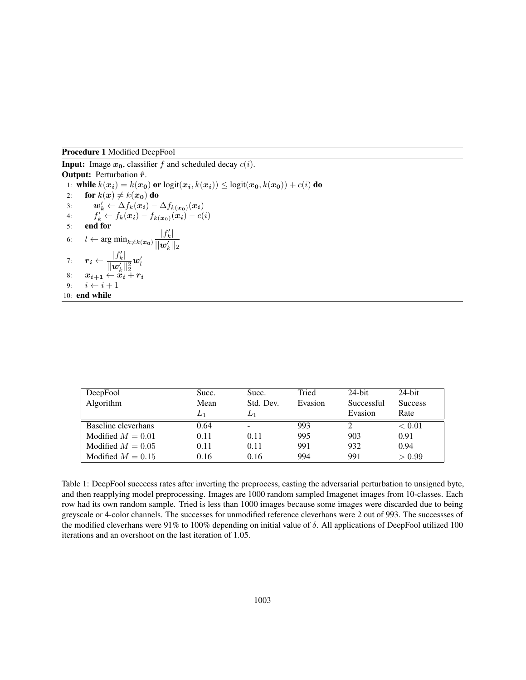#### <span id="page-2-0"></span>Procedure 1 Modified DeepFool

**Input:** Image  $x_0$ , classifier f and scheduled decay  $c(i)$ .

**Output:** Perturbation  $\hat{r}$ . 1: while  $k(x_i) = k(x_0)$  or  $logit(x_i, k(x_i)) \le logit(x_0, k(x_0)) + c(i)$  do 2: for  $k(x) \neq k(x_0)$  do 3:  $\mathbf{w}'_k \leftarrow \Delta f_k(\mathbf{x_i}) - \Delta f_{k(\mathbf{x_0})}(\mathbf{x_i})$ 4:  $f'_k \leftarrow f_k(\boldsymbol{x_i}) - f_{k(\boldsymbol{x_0})}(\boldsymbol{x_i}) - c(i)$ 5: end for 6:  $l \leftarrow \arg \min_{k \neq k(\bm{x_0})} \frac{|f'_k|}{||\bm{x'}||}$  $||\boldsymbol{w}'_k||_2$ 7:  $\mathbf{r_i} \leftarrow \frac{|f'_k|}{\|\mathbf{r_i}/\|\mathbf{r_i}\|}$  $||\boldsymbol{w}'_k||_2^2$  $\bm{w}_l'$ 8:  $x_{i+1} \leftarrow x_i + r_i$ 9:  $i \leftarrow i + 1$ 10: end while

| DeepFool            | Succ. | Succ.     | Tried   | $24$ -bit  | $24$ -bit      |
|---------------------|-------|-----------|---------|------------|----------------|
| Algorithm           | Mean  | Std. Dev. | Evasion | Successful | <b>Success</b> |
|                     | $L_1$ | $L_1$     |         | Evasion    | Rate           |
| Baseline cleverhans | 0.64  | ۰         | 993     |            | < 0.01         |
| Modified $M = 0.01$ | 0.11  | 0.11      | 995     | 903        | 0.91           |
| Modified $M = 0.05$ | 0.11  | 0.11      | 991     | 932        | 0.94           |
| Modified $M = 0.15$ | 0.16  | 0.16      | 994     | 991        | > 0.99         |

Table 1: DeepFool succcess rates after inverting the preprocess, casting the adversarial perturbation to unsigned byte, and then reapplying model preprocessing. Images are 1000 random sampled Imagenet images from 10-classes. Each row had its own random sample. Tried is less than 1000 images because some images were discarded due to being greyscale or 4-color channels. The successes for unmodified reference cleverhans were 2 out of 993. The successses of the modified cleverhans were 91% to 100% depending on initial value of  $\delta$ . All applications of DeepFool utilized 100 iterations and an overshoot on the last iteration of 1.05.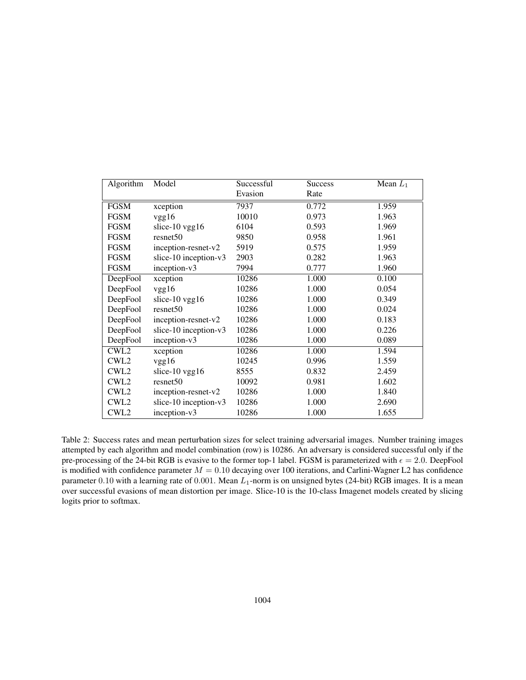| Algorithm        | Model                 | Successful | <b>Success</b> | Mean $L_1$ |
|------------------|-----------------------|------------|----------------|------------|
|                  |                       | Evasion    | Rate           |            |
| <b>FGSM</b>      | xception              | 7937       | 0.772          | 1.959      |
| <b>FGSM</b>      | vgg16                 | 10010      | 0.973          | 1.963      |
| <b>FGSM</b>      | slice-10 vgg16        | 6104       | 0.593          | 1.969      |
| <b>FGSM</b>      | resnet50              | 9850       | 0.958          | 1.961      |
| <b>FGSM</b>      | inception-resnet-v2   | 5919       | 0.575          | 1.959      |
| <b>FGSM</b>      | slice-10 inception-v3 | 2903       | 0.282          | 1.963      |
| <b>FGSM</b>      | inception-v3          | 7994       | 0.777          | 1.960      |
| DeepFool         | xception              | 10286      | 1.000          | 0.100      |
| DeepFool         | vgg16                 | 10286      | 1.000          | 0.054      |
| DeepFool         | slice-10 $vgg16$      | 10286      | 1.000          | 0.349      |
| DeepFool         | resnet50              | 10286      | 1.000          | 0.024      |
| DeepFool         | inception-resnet-v2   | 10286      | 1.000          | 0.183      |
| DeepFool         | slice-10 inception-v3 | 10286      | 1.000          | 0.226      |
| DeepFool         | inception-v3          | 10286      | 1.000          | 0.089      |
| CWL <sub>2</sub> | xception              | 10286      | 1.000          | 1.594      |
| CWL <sub>2</sub> | vgg16                 | 10245      | 0.996          | 1.559      |
| CWL <sub>2</sub> | slice-10 $vgg16$      | 8555       | 0.832          | 2.459      |
| CWL <sub>2</sub> | resnet50              | 10092      | 0.981          | 1.602      |
| CWL <sub>2</sub> | $ineption-resnet-v2$  | 10286      | 1.000          | 1.840      |
| CWL <sub>2</sub> | slice-10 inception-v3 | 10286      | 1.000          | 2.690      |
| CWL <sub>2</sub> | inception-v3          | 10286      | 1.000          | 1.655      |

<span id="page-3-0"></span>Table 2: Success rates and mean perturbation sizes for select training adversarial images. Number training images attempted by each algorithm and model combination (row) is 10286. An adversary is considered successful only if the pre-processing of the 24-bit RGB is evasive to the former top-1 label. FGSM is parameterized with  $\epsilon = 2.0$ . DeepFool is modified with confidence parameter  $M = 0.10$  decaying over 100 iterations, and Carlini-Wagner L2 has confidence parameter 0.10 with a learning rate of 0.001. Mean  $L_1$ -norm is on unsigned bytes (24-bit) RGB images. It is a mean over successful evasions of mean distortion per image. Slice-10 is the 10-class Imagenet models created by slicing logits prior to softmax.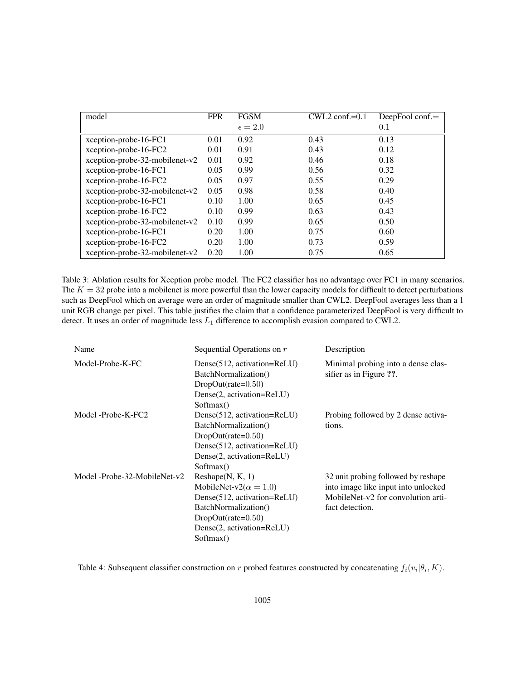| model                            | <b>FPR</b> | <b>FGSM</b>      | $CWL2$ conf.=0.1 | DeepFool conf. $=$ |
|----------------------------------|------------|------------------|------------------|--------------------|
|                                  |            | $\epsilon = 2.0$ |                  | 0.1                |
| xception-probe-16-FC1            | 0.01       | 0.92             | 0.43             | 0.13               |
| xception-probe-16-FC2            | 0.01       | 0.91             | 0.43             | 0.12               |
| xception-probe-32-mobilenet-v2   | 0.01       | 0.92             | 0.46             | 0.18               |
| xception-probe-16-FC1            | 0.05       | 0.99             | 0.56             | 0.32               |
| xception-probe-16-FC2            | 0.05       | 0.97             | 0.55             | 0.29               |
| xception-probe-32-mobilenet-v2   | 0.05       | 0.98             | 0.58             | 0.40               |
| xception-probe-16-FC1            | 0.10       | 1.00             | 0.65             | 0.45               |
| xception-probe-16-FC2            | 0.10       | 0.99             | 0.63             | 0.43               |
| xception-probe-32-mobilenet-v2   | 0.10       | 0.99             | 0.65             | 0.50               |
| xception-probe-16-FC1            | 0.20       | 1.00             | 0.75             | 0.60               |
| xception-probe-16-FC2            | 0.20       | 1.00             | 0.73             | 0.59               |
| $xception-probe-32-mobilenet-v2$ | 0.20       | 1.00             | 0.75             | 0.65               |

Table 3: Ablation results for Xception probe model. The FC2 classifier has no advantage over FC1 in many scenarios. The  $K = 32$  probe into a mobilenet is more powerful than the lower capacity models for difficult to detect perturbations such as DeepFool which on average were an order of magnitude smaller than CWL2. DeepFool averages less than a 1 unit RGB change per pixel. This table justifies the claim that a confidence parameterized DeepFool is very difficult to detect. It uses an order of magnitude less  $L_1$  difference to accomplish evasion compared to CWL2.

| Name                         | Sequential Operations on r                                                                                                                                                  | Description                                                                                                                         |
|------------------------------|-----------------------------------------------------------------------------------------------------------------------------------------------------------------------------|-------------------------------------------------------------------------------------------------------------------------------------|
| Model-Probe-K-FC             | Dense(512, activation=ReLU)<br>BatchNormalization()<br>$DropOut(rate=0.50)$<br>Dense(2, activation=ReLU)<br>Softmax()                                                       | Minimal probing into a dense clas-<br>sifier as in Figure ??.                                                                       |
| Model -Probe-K-FC2           | Dense $(512,$ activation=ReLU)<br>BatchNormalization()<br>$DropOut(rate=0.50)$<br>Dense(512, activation=ReLU)<br>Dense(2, activation=ReLU)<br>Softmax()                     | Probing followed by 2 dense activa-<br>tions.                                                                                       |
| Model -Probe-32-MobileNet-y2 | Reshape(N, K, 1)<br>MobileNet-v2( $\alpha = 1.0$ )<br>Dense(512, activation=ReLU)<br>BatchNormalization()<br>$DropOut(rate=0.50)$<br>Dense(2, activation=ReLU)<br>Softmax() | 32 unit probing followed by reshape<br>into image like input into unlocked<br>MobileNet-v2 for convolution arti-<br>fact detection. |

Table 4: Subsequent classifier construction on r probed features constructed by concatenating  $f_i(v_i|\theta_i, K)$ .